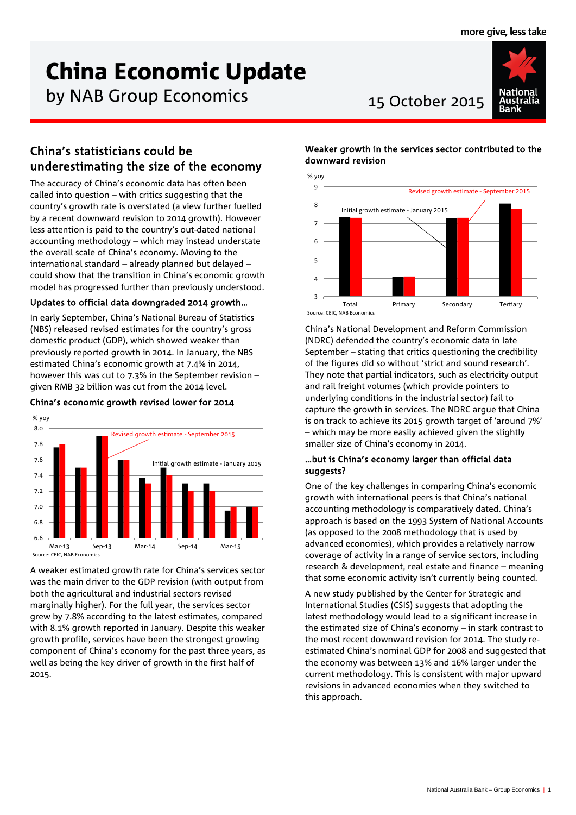# China Economic Update

by NAB Group Economics 15 October 2015



# China's statisticians could be underestimating the size of the economy

The accuracy of China's economic data has often been called into question – with critics suggesting that the country's growth rate is overstated (a view further fuelled by a recent downward revision to 2014 growth). However less attention is paid to the country's out-dated national accounting methodology – which may instead understate the overall scale of China's economy. Moving to the international standard – already planned but delayed – could show that the transition in China's economic growth model has progressed further than previously understood.

## Updates to official data downgraded 2014 growth…

In early September, China's National Bureau of Statistics (NBS) released revised estimates for the country's gross domestic product (GDP), which showed weaker than previously reported growth in 2014. In January, the NBS estimated China's economic growth at 7.4% in 2014, however this was cut to 7.3% in the September revision – given RMB 32 billion was cut from the 2014 level.

## China's economic growth revised lower for 2014



A weaker estimated growth rate for China's services sector was the main driver to the GDP revision (with output from both the agricultural and industrial sectors revised marginally higher). For the full year, the services sector grew by 7.8% according to the latest estimates, compared with 8.1% growth reported in January. Despite this weaker growth profile, services have been the strongest growing component of China's economy for the past three years, as well as being the key driver of growth in the first half of 2015.

# Weaker growth in the services sector contributed to the downward revision



China's National Development and Reform Commission (NDRC) defended the country's economic data in late September – stating that critics questioning the credibility of the figures did so without 'strict and sound research'. They note that partial indicators, such as electricity output and rail freight volumes (which provide pointers to underlying conditions in the industrial sector) fail to capture the growth in services. The NDRC argue that China is on track to achieve its 2015 growth target of 'around 7%' – which may be more easily achieved given the slightly smaller size of China's economy in 2014.

### …but is China's economy larger than official data suggests?

One of the key challenges in comparing China's economic growth with international peers is that China's national accounting methodology is comparatively dated. China's approach is based on the 1993 System of National Accounts (as opposed to the 2008 methodology that is used by advanced economies), which provides a relatively narrow coverage of activity in a range of service sectors, including research & development, real estate and finance – meaning that some economic activity isn't currently being counted.

A new study published by the Center for Strategic and International Studies (CSIS) suggests that adopting the latest methodology would lead to a significant increase in the estimated size of China's economy – in stark contrast to the most recent downward revision for 2014. The study reestimated China's nominal GDP for 2008 and suggested that the economy was between 13% and 16% larger under the current methodology. This is consistent with major upward revisions in advanced economies when they switched to this approach.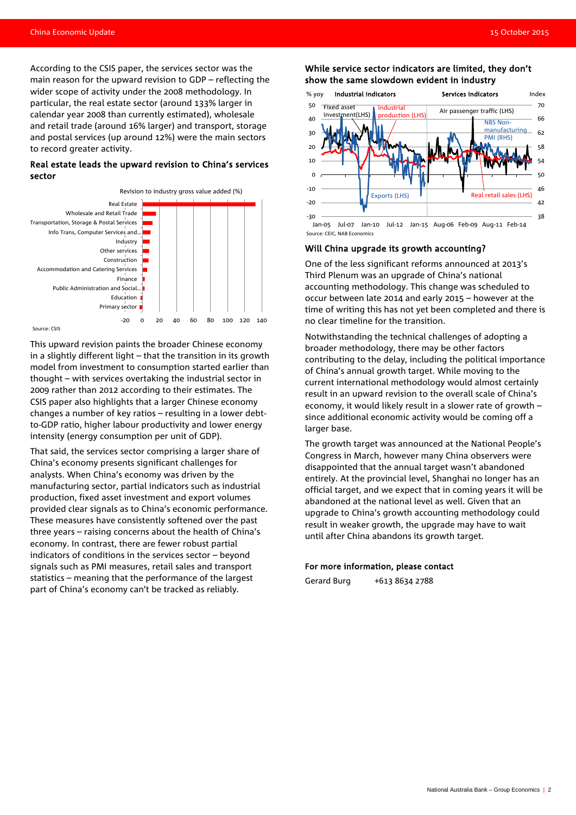According to the CSIS paper, the services sector was the main reason for the upward revision to GDP – reflecting the wider scope of activity under the 2008 methodology. In particular, the real estate sector (around 133% larger in calendar year 2008 than currently estimated), wholesale and retail trade (around 16% larger) and transport, storage and postal services (up around 12%) were the main sectors to record greater activity.

#### Real estate leads the upward revision to China's services sector



This upward revision paints the broader Chinese economy in a slightly different light – that the transition in its growth model from investment to consumption started earlier than thought – with services overtaking the industrial sector in 2009 rather than 2012 according to their estimates. The CSIS paper also highlights that a larger Chinese economy changes a number of key ratios – resulting in a lower debtto-GDP ratio, higher labour productivity and lower energy intensity (energy consumption per unit of GDP).

That said, the services sector comprising a larger share of China's economy presents significant challenges for analysts. When China's economy was driven by the manufacturing sector, partial indicators such as industrial production, fixed asset investment and export volumes provided clear signals as to China's economic performance. These measures have consistently softened over the past three years – raising concerns about the health of China's economy. In contrast, there are fewer robust partial indicators of conditions in the services sector – beyond signals such as PMI measures, retail sales and transport statistics – meaning that the performance of the largest part of China's economy can't be tracked as reliably.

#### While service sector indicators are limited, they don't show the same slowdown evident in industry



Source: CEIC, NAB Economics

#### Will China upgrade its growth accounting?

One of the less significant reforms announced at 2013's Third Plenum was an upgrade of China's national accounting methodology. This change was scheduled to occur between late 2014 and early 2015 – however at the time of writing this has not yet been completed and there is no clear timeline for the transition.

Notwithstanding the technical challenges of adopting a broader methodology, there may be other factors contributing to the delay, including the political importance of China's annual growth target. While moving to the current international methodology would almost certainly result in an upward revision to the overall scale of China's economy, it would likely result in a slower rate of growth – since additional economic activity would be coming off a larger base.

The growth target was announced at the National People's Congress in March, however many China observers were disappointed that the annual target wasn't abandoned entirely. At the provincial level, Shanghai no longer has an official target, and we expect that in coming years it will be abandoned at the national level as well. Given that an upgrade to China's growth accounting methodology could result in weaker growth, the upgrade may have to wait until after China abandons its growth target.

#### For more information, please contact

Gerard Burg +613 8634 2788